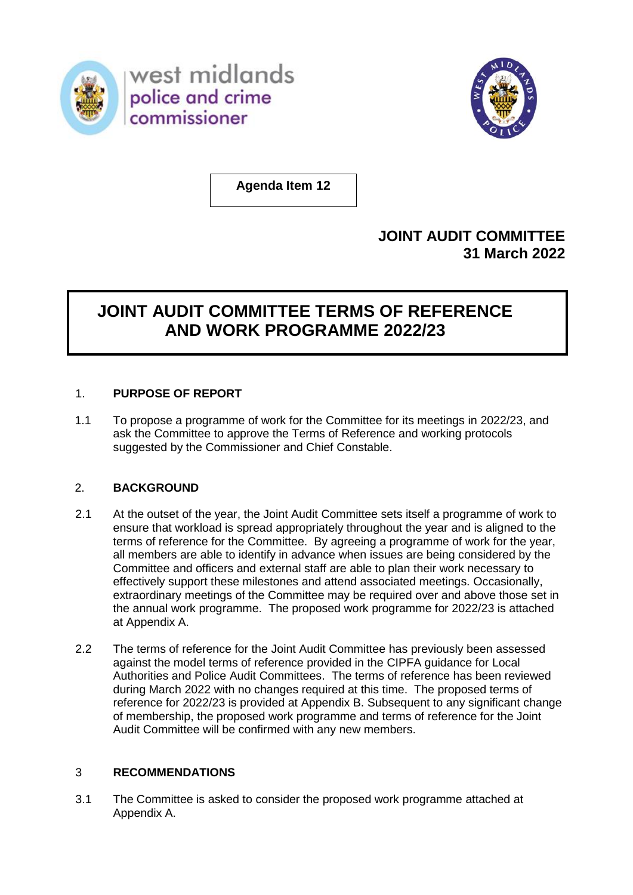

west midlands police and crime commissioner



**Agenda Item 12**

# **JOINT AUDIT COMMITTEE 31 March 2022**

# **JOINT AUDIT COMMITTEE TERMS OF REFERENCE AND WORK PROGRAMME 2022/23**

# 1. **PURPOSE OF REPORT**

1.1 To propose a programme of work for the Committee for its meetings in 2022/23, and ask the Committee to approve the Terms of Reference and working protocols suggested by the Commissioner and Chief Constable.

# 2. **BACKGROUND**

- 2.1 At the outset of the year, the Joint Audit Committee sets itself a programme of work to ensure that workload is spread appropriately throughout the year and is aligned to the terms of reference for the Committee. By agreeing a programme of work for the year, all members are able to identify in advance when issues are being considered by the Committee and officers and external staff are able to plan their work necessary to effectively support these milestones and attend associated meetings. Occasionally, extraordinary meetings of the Committee may be required over and above those set in the annual work programme. The proposed work programme for 2022/23 is attached at Appendix A.
- 2.2 The terms of reference for the Joint Audit Committee has previously been assessed against the model terms of reference provided in the CIPFA guidance for Local Authorities and Police Audit Committees. The terms of reference has been reviewed during March 2022 with no changes required at this time. The proposed terms of reference for 2022/23 is provided at Appendix B. Subsequent to any significant change of membership, the proposed work programme and terms of reference for the Joint Audit Committee will be confirmed with any new members.

# 3 **RECOMMENDATIONS**

3.1 The Committee is asked to consider the proposed work programme attached at Appendix A.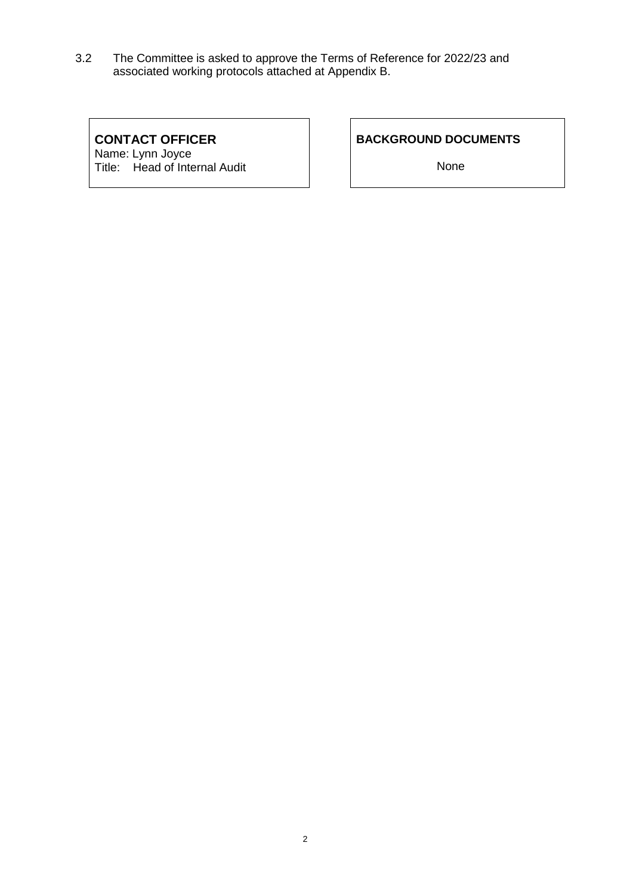3.2 The Committee is asked to approve the Terms of Reference for 2022/23 and associated working protocols attached at Appendix B.

# **CONTACT OFFICER**

Name: Lynn Joyce Title: Head of Internal Audit

# **BACKGROUND DOCUMENTS**

None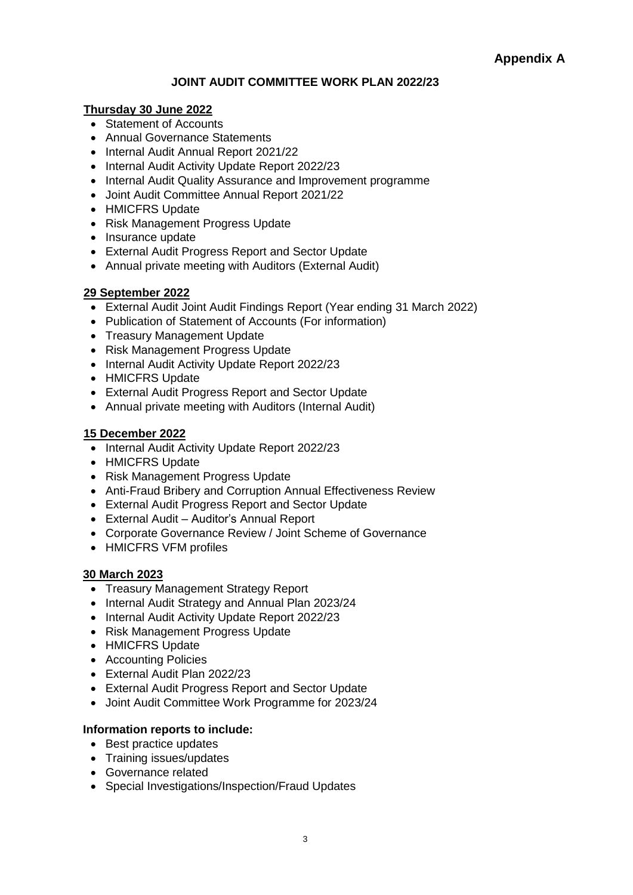# **JOINT AUDIT COMMITTEE WORK PLAN 2022/23**

## **Thursday 30 June 2022**

- Statement of Accounts
- Annual Governance Statements
- Internal Audit Annual Report 2021/22
- Internal Audit Activity Update Report 2022/23
- Internal Audit Quality Assurance and Improvement programme
- Joint Audit Committee Annual Report 2021/22
- HMICFRS Update
- Risk Management Progress Update
- Insurance update
- External Audit Progress Report and Sector Update
- Annual private meeting with Auditors (External Audit)

## **29 September 2022**

- External Audit Joint Audit Findings Report (Year ending 31 March 2022)
- Publication of Statement of Accounts (For information)
- Treasury Management Update
- Risk Management Progress Update
- Internal Audit Activity Update Report 2022/23
- HMICFRS Update
- External Audit Progress Report and Sector Update
- Annual private meeting with Auditors (Internal Audit)

## **15 December 2022**

- Internal Audit Activity Update Report 2022/23
- HMICFRS Update
- Risk Management Progress Update
- Anti-Fraud Bribery and Corruption Annual Effectiveness Review
- External Audit Progress Report and Sector Update
- External Audit Auditor's Annual Report
- Corporate Governance Review / Joint Scheme of Governance
- HMICFRS VFM profiles

## **30 March 2023**

- Treasury Management Strategy Report
- Internal Audit Strategy and Annual Plan 2023/24
- Internal Audit Activity Update Report 2022/23
- Risk Management Progress Update
- HMICFRS Update
- Accounting Policies
- External Audit Plan 2022/23
- External Audit Progress Report and Sector Update
- Joint Audit Committee Work Programme for 2023/24

## **Information reports to include:**

- Best practice updates
- Training issues/updates
- Governance related
- Special Investigations/Inspection/Fraud Updates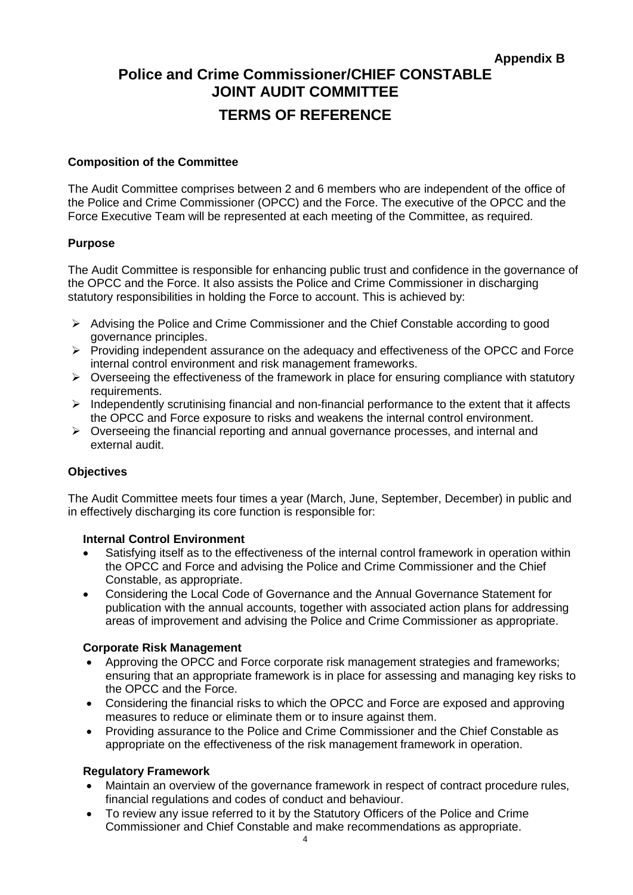# **Police and Crime Commissioner/CHIEF CONSTABLE JOINT AUDIT COMMITTEE TERMS OF REFERENCE**

#### **Composition of the Committee**

The Audit Committee comprises between 2 and 6 members who are independent of the office of the Police and Crime Commissioner (OPCC) and the Force. The executive of the OPCC and the Force Executive Team will be represented at each meeting of the Committee, as required.

#### **Purpose**

The Audit Committee is responsible for enhancing public trust and confidence in the governance of the OPCC and the Force. It also assists the Police and Crime Commissioner in discharging statutory responsibilities in holding the Force to account. This is achieved by:

- ➢ Advising the Police and Crime Commissioner and the Chief Constable according to good governance principles.
- ➢ Providing independent assurance on the adequacy and effectiveness of the OPCC and Force internal control environment and risk management frameworks.
- $\triangleright$  Overseeing the effectiveness of the framework in place for ensuring compliance with statutory requirements.
- ➢ Independently scrutinising financial and non-financial performance to the extent that it affects the OPCC and Force exposure to risks and weakens the internal control environment.
- ➢ Overseeing the financial reporting and annual governance processes, and internal and external audit.

## **Objectives**

The Audit Committee meets four times a year (March, June, September, December) in public and in effectively discharging its core function is responsible for:

#### **Internal Control Environment**

- Satisfying itself as to the effectiveness of the internal control framework in operation within the OPCC and Force and advising the Police and Crime Commissioner and the Chief Constable, as appropriate.
- Considering the Local Code of Governance and the Annual Governance Statement for publication with the annual accounts, together with associated action plans for addressing areas of improvement and advising the Police and Crime Commissioner as appropriate.

#### **Corporate Risk Management**

- Approving the OPCC and Force corporate risk management strategies and frameworks; ensuring that an appropriate framework is in place for assessing and managing key risks to the OPCC and the Force.
- Considering the financial risks to which the OPCC and Force are exposed and approving measures to reduce or eliminate them or to insure against them.
- Providing assurance to the Police and Crime Commissioner and the Chief Constable as appropriate on the effectiveness of the risk management framework in operation.

## **Regulatory Framework**

- Maintain an overview of the governance framework in respect of contract procedure rules, financial regulations and codes of conduct and behaviour.
- To review any issue referred to it by the Statutory Officers of the Police and Crime Commissioner and Chief Constable and make recommendations as appropriate.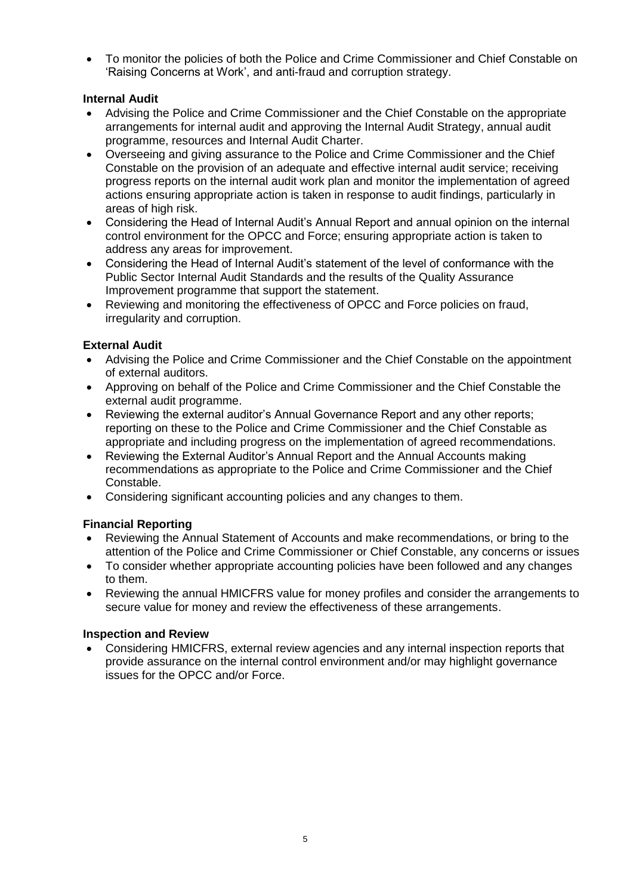• To monitor the policies of both the Police and Crime Commissioner and Chief Constable on 'Raising Concerns at Work', and anti-fraud and corruption strategy.

# **Internal Audit**

- Advising the Police and Crime Commissioner and the Chief Constable on the appropriate arrangements for internal audit and approving the Internal Audit Strategy, annual audit programme, resources and Internal Audit Charter.
- Overseeing and giving assurance to the Police and Crime Commissioner and the Chief Constable on the provision of an adequate and effective internal audit service; receiving progress reports on the internal audit work plan and monitor the implementation of agreed actions ensuring appropriate action is taken in response to audit findings, particularly in areas of high risk.
- Considering the Head of Internal Audit's Annual Report and annual opinion on the internal control environment for the OPCC and Force; ensuring appropriate action is taken to address any areas for improvement.
- Considering the Head of Internal Audit's statement of the level of conformance with the Public Sector Internal Audit Standards and the results of the Quality Assurance Improvement programme that support the statement.
- Reviewing and monitoring the effectiveness of OPCC and Force policies on fraud, irregularity and corruption.

# **External Audit**

- Advising the Police and Crime Commissioner and the Chief Constable on the appointment of external auditors.
- Approving on behalf of the Police and Crime Commissioner and the Chief Constable the external audit programme.
- Reviewing the external auditor's Annual Governance Report and any other reports; reporting on these to the Police and Crime Commissioner and the Chief Constable as appropriate and including progress on the implementation of agreed recommendations.
- Reviewing the External Auditor's Annual Report and the Annual Accounts making recommendations as appropriate to the Police and Crime Commissioner and the Chief Constable.
- Considering significant accounting policies and any changes to them.

# **Financial Reporting**

- Reviewing the Annual Statement of Accounts and make recommendations, or bring to the attention of the Police and Crime Commissioner or Chief Constable, any concerns or issues
- To consider whether appropriate accounting policies have been followed and any changes to them.
- Reviewing the annual HMICFRS value for money profiles and consider the arrangements to secure value for money and review the effectiveness of these arrangements.

# **Inspection and Review**

• Considering HMICFRS, external review agencies and any internal inspection reports that provide assurance on the internal control environment and/or may highlight governance issues for the OPCC and/or Force.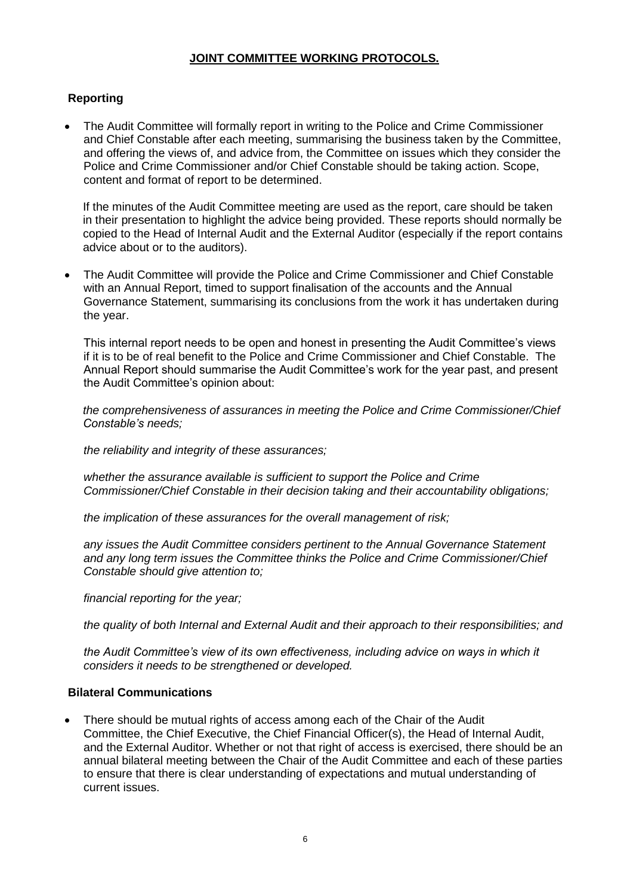### **JOINT COMMITTEE WORKING PROTOCOLS.**

## **Reporting**

• The Audit Committee will formally report in writing to the Police and Crime Commissioner and Chief Constable after each meeting, summarising the business taken by the Committee, and offering the views of, and advice from, the Committee on issues which they consider the Police and Crime Commissioner and/or Chief Constable should be taking action. Scope, content and format of report to be determined.

If the minutes of the Audit Committee meeting are used as the report, care should be taken in their presentation to highlight the advice being provided. These reports should normally be copied to the Head of Internal Audit and the External Auditor (especially if the report contains advice about or to the auditors).

• The Audit Committee will provide the Police and Crime Commissioner and Chief Constable with an Annual Report, timed to support finalisation of the accounts and the Annual Governance Statement, summarising its conclusions from the work it has undertaken during the year.

This internal report needs to be open and honest in presenting the Audit Committee's views if it is to be of real benefit to the Police and Crime Commissioner and Chief Constable. The Annual Report should summarise the Audit Committee's work for the year past, and present the Audit Committee's opinion about:

*the comprehensiveness of assurances in meeting the Police and Crime Commissioner/Chief Constable's needs;*

*the reliability and integrity of these assurances;*

*whether the assurance available is sufficient to support the Police and Crime Commissioner/Chief Constable in their decision taking and their accountability obligations;*

*the implication of these assurances for the overall management of risk;*

*any issues the Audit Committee considers pertinent to the Annual Governance Statement and any long term issues the Committee thinks the Police and Crime Commissioner/Chief Constable should give attention to;*

*financial reporting for the year;*

*the quality of both Internal and External Audit and their approach to their responsibilities; and*

*the Audit Committee's view of its own effectiveness, including advice on ways in which it considers it needs to be strengthened or developed.*

## **Bilateral Communications**

• There should be mutual rights of access among each of the Chair of the Audit Committee, the Chief Executive, the Chief Financial Officer(s), the Head of Internal Audit, and the External Auditor. Whether or not that right of access is exercised, there should be an annual bilateral meeting between the Chair of the Audit Committee and each of these parties to ensure that there is clear understanding of expectations and mutual understanding of current issues.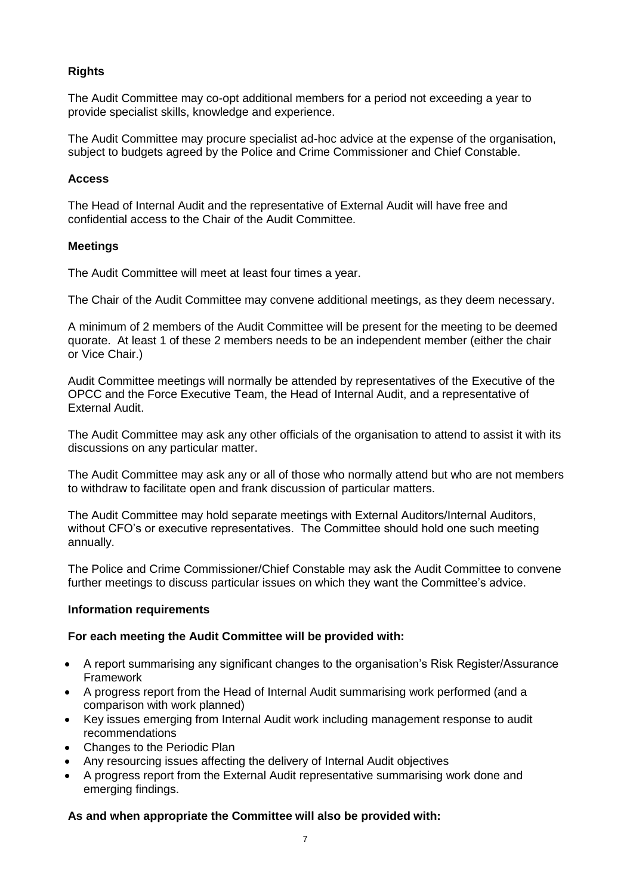# **Rights**

The Audit Committee may co-opt additional members for a period not exceeding a year to provide specialist skills, knowledge and experience.

The Audit Committee may procure specialist ad-hoc advice at the expense of the organisation, subject to budgets agreed by the Police and Crime Commissioner and Chief Constable.

### **Access**

The Head of Internal Audit and the representative of External Audit will have free and confidential access to the Chair of the Audit Committee.

#### **Meetings**

The Audit Committee will meet at least four times a year.

The Chair of the Audit Committee may convene additional meetings, as they deem necessary.

A minimum of 2 members of the Audit Committee will be present for the meeting to be deemed quorate. At least 1 of these 2 members needs to be an independent member (either the chair or Vice Chair.)

Audit Committee meetings will normally be attended by representatives of the Executive of the OPCC and the Force Executive Team, the Head of Internal Audit, and a representative of External Audit.

The Audit Committee may ask any other officials of the organisation to attend to assist it with its discussions on any particular matter.

The Audit Committee may ask any or all of those who normally attend but who are not members to withdraw to facilitate open and frank discussion of particular matters.

The Audit Committee may hold separate meetings with External Auditors/Internal Auditors, without CFO's or executive representatives. The Committee should hold one such meeting annually.

The Police and Crime Commissioner/Chief Constable may ask the Audit Committee to convene further meetings to discuss particular issues on which they want the Committee's advice.

## **Information requirements**

## **For each meeting the Audit Committee will be provided with:**

- A report summarising any significant changes to the organisation's Risk Register/Assurance Framework
- A progress report from the Head of Internal Audit summarising work performed (and a comparison with work planned)
- Key issues emerging from Internal Audit work including management response to audit recommendations
- Changes to the Periodic Plan
- Any resourcing issues affecting the delivery of Internal Audit objectives
- A progress report from the External Audit representative summarising work done and emerging findings.

## **As and when appropriate the Committee will also be provided with:**